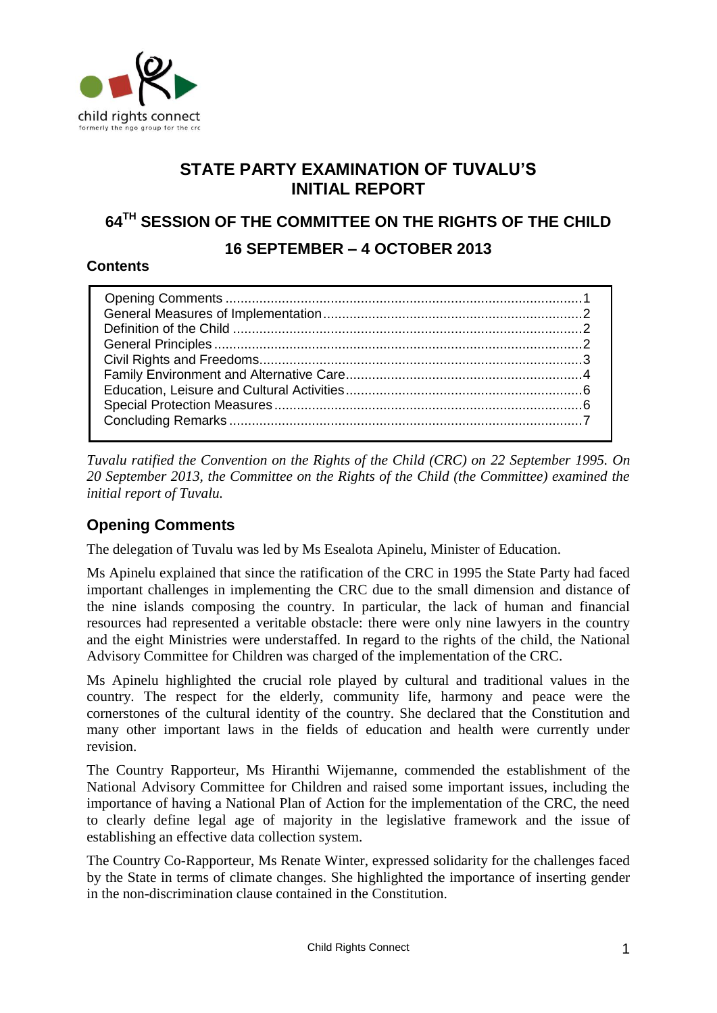

# **STATE PARTY EXAMINATION OF TUVALU'S INITIAL REPORT**

# **64TH SESSION OF THE COMMITTEE ON THE RIGHTS OF THE CHILD**

# **16 SEPTEMBER – 4 OCTOBER 2013**

### **Contents**

*Tuvalu ratified the Convention on the Rights of the Child (CRC) on 22 September 1995. On 20 September 2013, the Committee on the Rights of the Child (the Committee) examined the initial report of Tuvalu.* 

# <span id="page-0-0"></span>**Opening Comments**

The delegation of Tuvalu was led by Ms Esealota Apinelu, Minister of Education.

Ms Apinelu explained that since the ratification of the CRC in 1995 the State Party had faced important challenges in implementing the CRC due to the small dimension and distance of the nine islands composing the country. In particular, the lack of human and financial resources had represented a veritable obstacle: there were only nine lawyers in the country and the eight Ministries were understaffed. In regard to the rights of the child, the National Advisory Committee for Children was charged of the implementation of the CRC.

Ms Apinelu highlighted the crucial role played by cultural and traditional values in the country. The respect for the elderly, community life, harmony and peace were the cornerstones of the cultural identity of the country. She declared that the Constitution and many other important laws in the fields of education and health were currently under revision.

The Country Rapporteur, Ms Hiranthi Wijemanne, commended the establishment of the National Advisory Committee for Children and raised some important issues, including the importance of having a National Plan of Action for the implementation of the CRC, the need to clearly define legal age of majority in the legislative framework and the issue of establishing an effective data collection system.

The Country Co-Rapporteur, Ms Renate Winter, expressed solidarity for the challenges faced by the State in terms of climate changes. She highlighted the importance of inserting gender in the non-discrimination clause contained in the Constitution.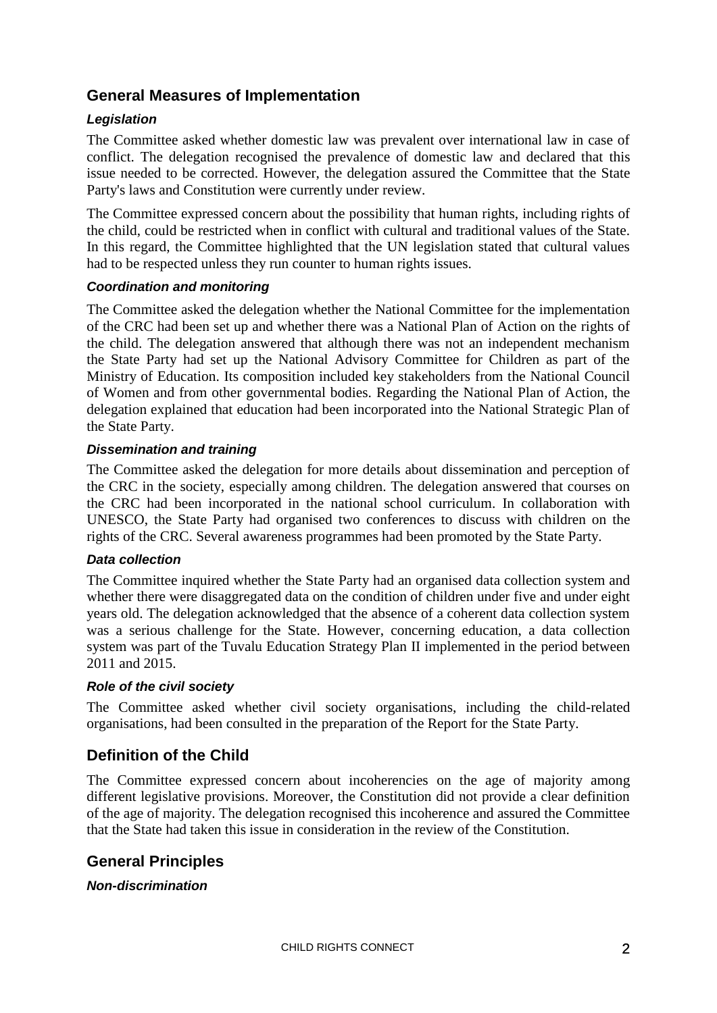# <span id="page-1-0"></span>**General Measures of Implementation**

### *Legislation*

The Committee asked whether domestic law was prevalent over international law in case of conflict. The delegation recognised the prevalence of domestic law and declared that this issue needed to be corrected. However, the delegation assured the Committee that the State Party's laws and Constitution were currently under review.

The Committee expressed concern about the possibility that human rights, including rights of the child, could be restricted when in conflict with cultural and traditional values of the State. In this regard, the Committee highlighted that the UN legislation stated that cultural values had to be respected unless they run counter to human rights issues.

### *Coordination and monitoring*

The Committee asked the delegation whether the National Committee for the implementation of the CRC had been set up and whether there was a National Plan of Action on the rights of the child. The delegation answered that although there was not an independent mechanism the State Party had set up the National Advisory Committee for Children as part of the Ministry of Education. Its composition included key stakeholders from the National Council of Women and from other governmental bodies. Regarding the National Plan of Action, the delegation explained that education had been incorporated into the National Strategic Plan of the State Party.

#### *Dissemination and training*

The Committee asked the delegation for more details about dissemination and perception of the CRC in the society, especially among children. The delegation answered that courses on the CRC had been incorporated in the national school curriculum. In collaboration with UNESCO, the State Party had organised two conferences to discuss with children on the rights of the CRC. Several awareness programmes had been promoted by the State Party.

### *Data collection*

The Committee inquired whether the State Party had an organised data collection system and whether there were disaggregated data on the condition of children under five and under eight years old. The delegation acknowledged that the absence of a coherent data collection system was a serious challenge for the State. However, concerning education, a data collection system was part of the Tuvalu Education Strategy Plan II implemented in the period between 2011 and 2015.

#### *Role of the civil society*

The Committee asked whether civil society organisations, including the child-related organisations, had been consulted in the preparation of the Report for the State Party.

# <span id="page-1-1"></span>**Definition of the Child**

The Committee expressed concern about incoherencies on the age of majority among different legislative provisions. Moreover, the Constitution did not provide a clear definition of the age of majority. The delegation recognised this incoherence and assured the Committee that the State had taken this issue in consideration in the review of the Constitution.

### <span id="page-1-2"></span>**General Principles**

#### *Non-discrimination*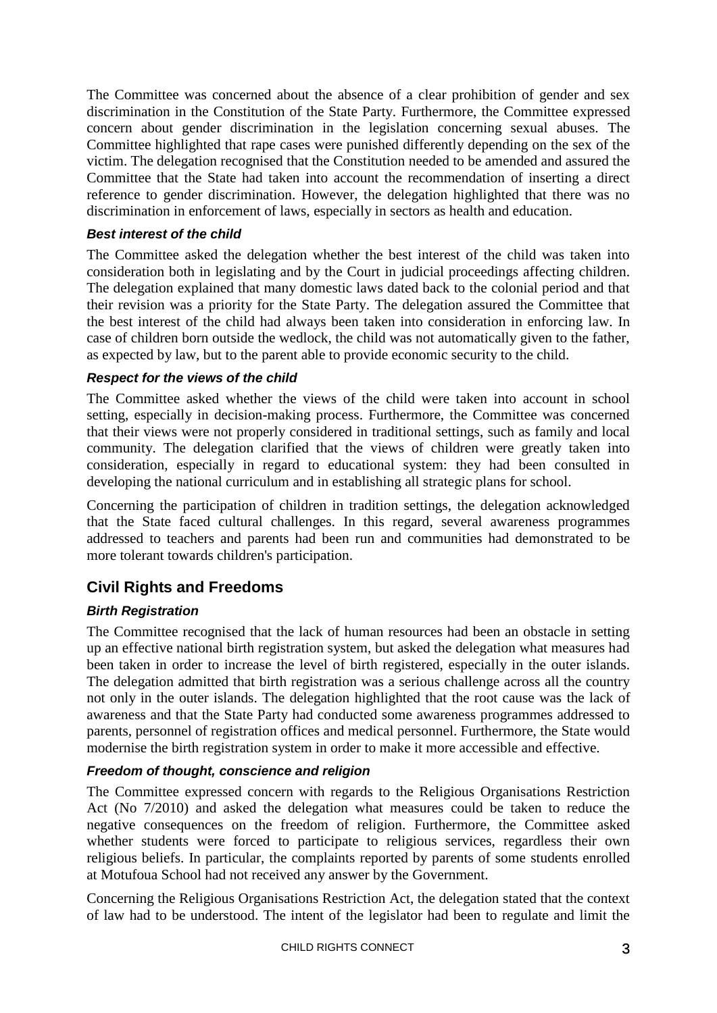The Committee was concerned about the absence of a clear prohibition of gender and sex discrimination in the Constitution of the State Party. Furthermore, the Committee expressed concern about gender discrimination in the legislation concerning sexual abuses. The Committee highlighted that rape cases were punished differently depending on the sex of the victim. The delegation recognised that the Constitution needed to be amended and assured the Committee that the State had taken into account the recommendation of inserting a direct reference to gender discrimination. However, the delegation highlighted that there was no discrimination in enforcement of laws, especially in sectors as health and education.

### *Best interest of the child*

The Committee asked the delegation whether the best interest of the child was taken into consideration both in legislating and by the Court in judicial proceedings affecting children. The delegation explained that many domestic laws dated back to the colonial period and that their revision was a priority for the State Party. The delegation assured the Committee that the best interest of the child had always been taken into consideration in enforcing law. In case of children born outside the wedlock, the child was not automatically given to the father, as expected by law, but to the parent able to provide economic security to the child.

#### *Respect for the views of the child*

The Committee asked whether the views of the child were taken into account in school setting, especially in decision-making process. Furthermore, the Committee was concerned that their views were not properly considered in traditional settings, such as family and local community. The delegation clarified that the views of children were greatly taken into consideration, especially in regard to educational system: they had been consulted in developing the national curriculum and in establishing all strategic plans for school.

Concerning the participation of children in tradition settings, the delegation acknowledged that the State faced cultural challenges. In this regard, several awareness programmes addressed to teachers and parents had been run and communities had demonstrated to be more tolerant towards children's participation.

# <span id="page-2-0"></span>**Civil Rights and Freedoms**

### *Birth Registration*

The Committee recognised that the lack of human resources had been an obstacle in setting up an effective national birth registration system, but asked the delegation what measures had been taken in order to increase the level of birth registered, especially in the outer islands. The delegation admitted that birth registration was a serious challenge across all the country not only in the outer islands. The delegation highlighted that the root cause was the lack of awareness and that the State Party had conducted some awareness programmes addressed to parents, personnel of registration offices and medical personnel. Furthermore, the State would modernise the birth registration system in order to make it more accessible and effective.

#### *Freedom of thought, conscience and religion*

The Committee expressed concern with regards to the Religious Organisations Restriction Act (No 7/2010) and asked the delegation what measures could be taken to reduce the negative consequences on the freedom of religion. Furthermore, the Committee asked whether students were forced to participate to religious services, regardless their own religious beliefs. In particular, the complaints reported by parents of some students enrolled at Motufoua School had not received any answer by the Government.

Concerning the Religious Organisations Restriction Act, the delegation stated that the context of law had to be understood. The intent of the legislator had been to regulate and limit the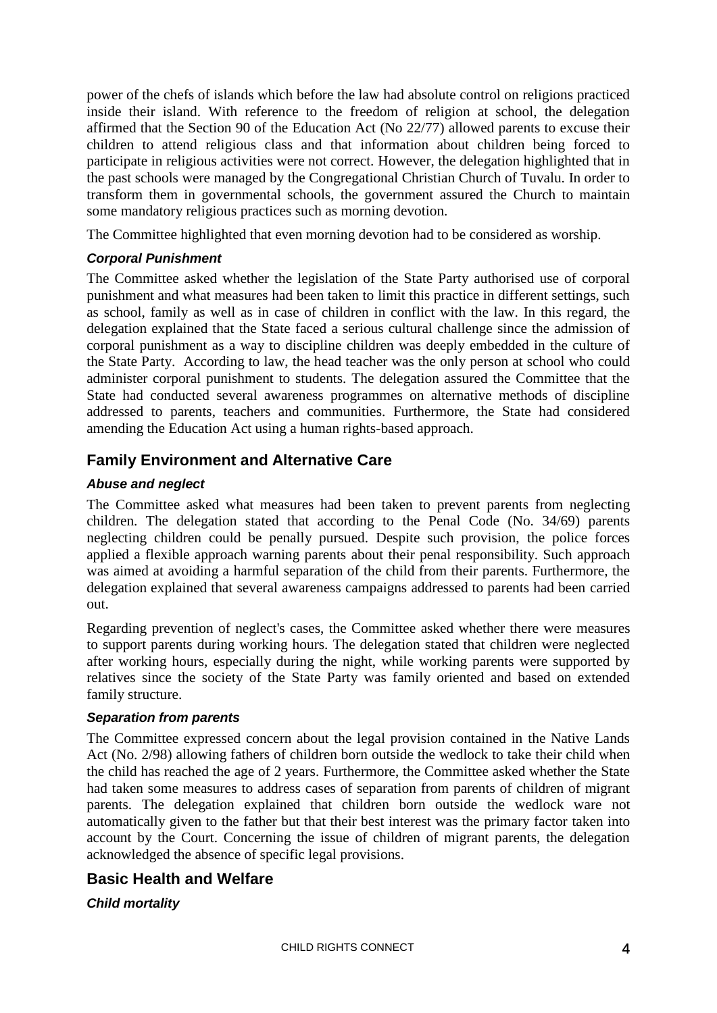power of the chefs of islands which before the law had absolute control on religions practiced inside their island. With reference to the freedom of religion at school, the delegation affirmed that the Section 90 of the Education Act (No 22/77) allowed parents to excuse their children to attend religious class and that information about children being forced to participate in religious activities were not correct. However, the delegation highlighted that in the past schools were managed by the Congregational Christian Church of Tuvalu. In order to transform them in governmental schools, the government assured the Church to maintain some mandatory religious practices such as morning devotion.

The Committee highlighted that even morning devotion had to be considered as worship.

### *Corporal Punishment*

The Committee asked whether the legislation of the State Party authorised use of corporal punishment and what measures had been taken to limit this practice in different settings, such as school, family as well as in case of children in conflict with the law. In this regard, the delegation explained that the State faced a serious cultural challenge since the admission of corporal punishment as a way to discipline children was deeply embedded in the culture of the State Party. According to law, the head teacher was the only person at school who could administer corporal punishment to students. The delegation assured the Committee that the State had conducted several awareness programmes on alternative methods of discipline addressed to parents, teachers and communities. Furthermore, the State had considered amending the Education Act using a human rights-based approach.

# <span id="page-3-0"></span>**Family Environment and Alternative Care**

### *Abuse and neglect*

The Committee asked what measures had been taken to prevent parents from neglecting children. The delegation stated that according to the Penal Code (No. 34/69) parents neglecting children could be penally pursued. Despite such provision, the police forces applied a flexible approach warning parents about their penal responsibility. Such approach was aimed at avoiding a harmful separation of the child from their parents. Furthermore, the delegation explained that several awareness campaigns addressed to parents had been carried out.

Regarding prevention of neglect's cases, the Committee asked whether there were measures to support parents during working hours. The delegation stated that children were neglected after working hours, especially during the night, while working parents were supported by relatives since the society of the State Party was family oriented and based on extended family structure.

### *Separation from parents*

The Committee expressed concern about the legal provision contained in the Native Lands Act (No. 2/98) allowing fathers of children born outside the wedlock to take their child when the child has reached the age of 2 years. Furthermore, the Committee asked whether the State had taken some measures to address cases of separation from parents of children of migrant parents. The delegation explained that children born outside the wedlock ware not automatically given to the father but that their best interest was the primary factor taken into account by the Court. Concerning the issue of children of migrant parents, the delegation acknowledged the absence of specific legal provisions.

# **Basic Health and Welfare**

### *Child mortality*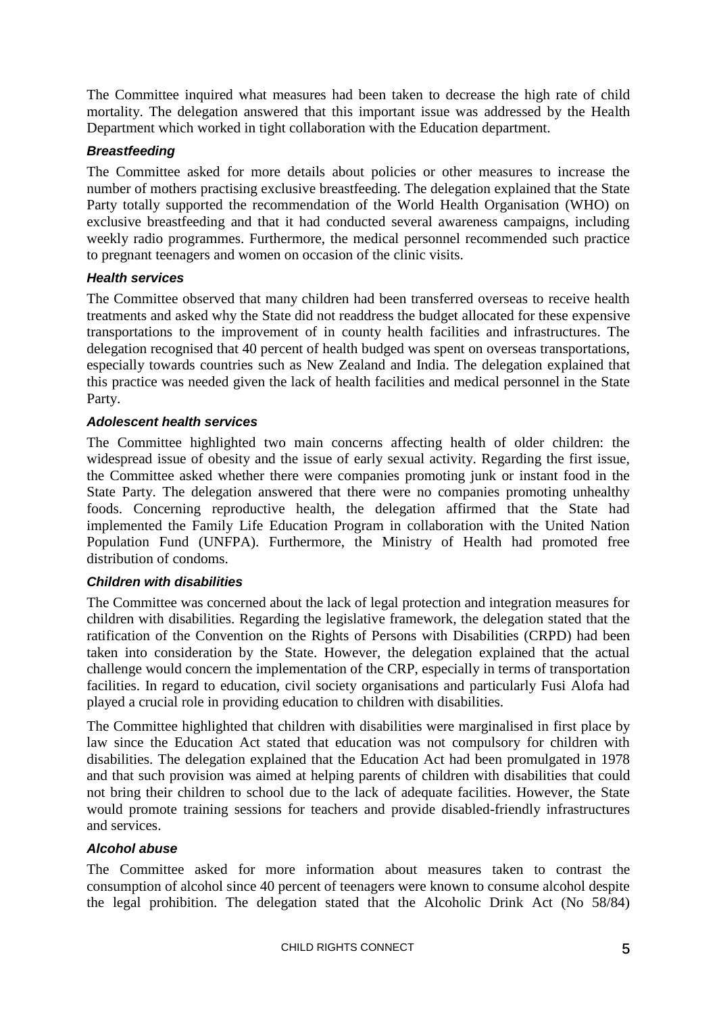The Committee inquired what measures had been taken to decrease the high rate of child mortality. The delegation answered that this important issue was addressed by the Health Department which worked in tight collaboration with the Education department.

#### *Breastfeeding*

The Committee asked for more details about policies or other measures to increase the number of mothers practising exclusive breastfeeding. The delegation explained that the State Party totally supported the recommendation of the World Health Organisation (WHO) on exclusive breastfeeding and that it had conducted several awareness campaigns, including weekly radio programmes. Furthermore, the medical personnel recommended such practice to pregnant teenagers and women on occasion of the clinic visits.

#### *Health services*

The Committee observed that many children had been transferred overseas to receive health treatments and asked why the State did not readdress the budget allocated for these expensive transportations to the improvement of in county health facilities and infrastructures. The delegation recognised that 40 percent of health budged was spent on overseas transportations, especially towards countries such as New Zealand and India. The delegation explained that this practice was needed given the lack of health facilities and medical personnel in the State Party.

#### *Adolescent health services*

The Committee highlighted two main concerns affecting health of older children: the widespread issue of obesity and the issue of early sexual activity. Regarding the first issue, the Committee asked whether there were companies promoting junk or instant food in the State Party. The delegation answered that there were no companies promoting unhealthy foods. Concerning reproductive health, the delegation affirmed that the State had implemented the Family Life Education Program in collaboration with the United Nation Population Fund (UNFPA). Furthermore, the Ministry of Health had promoted free distribution of condoms.

### *Children with disabilities*

The Committee was concerned about the lack of legal protection and integration measures for children with disabilities. Regarding the legislative framework, the delegation stated that the ratification of the Convention on the Rights of Persons with Disabilities (CRPD) had been taken into consideration by the State. However, the delegation explained that the actual challenge would concern the implementation of the CRP, especially in terms of transportation facilities. In regard to education, civil society organisations and particularly Fusi Alofa had played a crucial role in providing education to children with disabilities.

The Committee highlighted that children with disabilities were marginalised in first place by law since the Education Act stated that education was not compulsory for children with disabilities. The delegation explained that the Education Act had been promulgated in 1978 and that such provision was aimed at helping parents of children with disabilities that could not bring their children to school due to the lack of adequate facilities. However, the State would promote training sessions for teachers and provide disabled-friendly infrastructures and services.

#### *Alcohol abuse*

The Committee asked for more information about measures taken to contrast the consumption of alcohol since 40 percent of teenagers were known to consume alcohol despite the legal prohibition. The delegation stated that the Alcoholic Drink Act (No 58/84)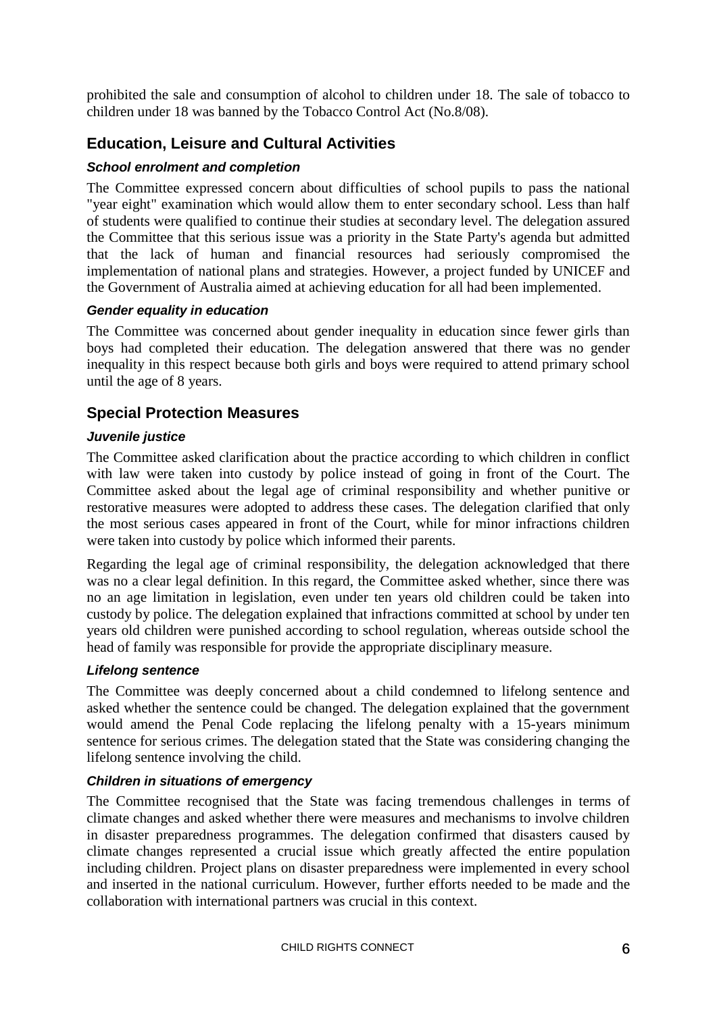prohibited the sale and consumption of alcohol to children under 18. The sale of tobacco to children under 18 was banned by the Tobacco Control Act (No.8/08).

# <span id="page-5-0"></span>**Education, Leisure and Cultural Activities**

### *School enrolment and completion*

The Committee expressed concern about difficulties of school pupils to pass the national "year eight" examination which would allow them to enter secondary school. Less than half of students were qualified to continue their studies at secondary level. The delegation assured the Committee that this serious issue was a priority in the State Party's agenda but admitted that the lack of human and financial resources had seriously compromised the implementation of national plans and strategies. However, a project funded by UNICEF and the Government of Australia aimed at achieving education for all had been implemented.

### *Gender equality in education*

The Committee was concerned about gender inequality in education since fewer girls than boys had completed their education. The delegation answered that there was no gender inequality in this respect because both girls and boys were required to attend primary school until the age of 8 years.

# <span id="page-5-1"></span>**Special Protection Measures**

#### *Juvenile justice*

The Committee asked clarification about the practice according to which children in conflict with law were taken into custody by police instead of going in front of the Court. The Committee asked about the legal age of criminal responsibility and whether punitive or restorative measures were adopted to address these cases. The delegation clarified that only the most serious cases appeared in front of the Court, while for minor infractions children were taken into custody by police which informed their parents.

Regarding the legal age of criminal responsibility, the delegation acknowledged that there was no a clear legal definition. In this regard, the Committee asked whether, since there was no an age limitation in legislation, even under ten years old children could be taken into custody by police. The delegation explained that infractions committed at school by under ten years old children were punished according to school regulation, whereas outside school the head of family was responsible for provide the appropriate disciplinary measure.

### *Lifelong sentence*

The Committee was deeply concerned about a child condemned to lifelong sentence and asked whether the sentence could be changed. The delegation explained that the government would amend the Penal Code replacing the lifelong penalty with a 15-years minimum sentence for serious crimes. The delegation stated that the State was considering changing the lifelong sentence involving the child.

### *Children in situations of emergency*

The Committee recognised that the State was facing tremendous challenges in terms of climate changes and asked whether there were measures and mechanisms to involve children in disaster preparedness programmes. The delegation confirmed that disasters caused by climate changes represented a crucial issue which greatly affected the entire population including children. Project plans on disaster preparedness were implemented in every school and inserted in the national curriculum. However, further efforts needed to be made and the collaboration with international partners was crucial in this context.